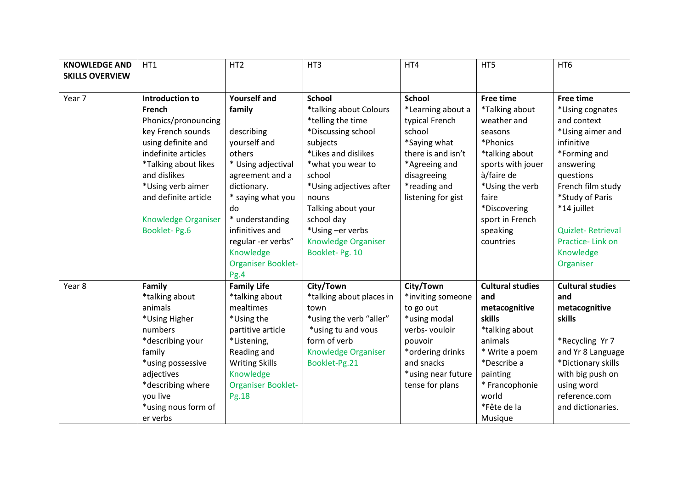| <b>KNOWLEDGE AND</b>   | HT1                        | HT <sub>2</sub>           | HT3                        | HT4                | HT5                     | HT <sub>6</sub>         |
|------------------------|----------------------------|---------------------------|----------------------------|--------------------|-------------------------|-------------------------|
| <b>SKILLS OVERVIEW</b> |                            |                           |                            |                    |                         |                         |
|                        |                            |                           |                            |                    |                         |                         |
| Year 7                 | Introduction to            | <b>Yourself and</b>       | <b>School</b>              | <b>School</b>      | <b>Free time</b>        | <b>Free time</b>        |
|                        | French                     | family                    | *talking about Colours     | *Learning about a  | *Talking about          | *Using cognates         |
|                        | Phonics/pronouncing        |                           | *telling the time          | typical French     | weather and             | and context             |
|                        | key French sounds          | describing                | *Discussing school         | school             | seasons                 | *Using aimer and        |
|                        | using definite and         | yourself and              | subjects                   | *Saying what       | *Phonics                | infinitive              |
|                        | indefinite articles        | others                    | *Likes and dislikes        | there is and isn't | *talking about          | *Forming and            |
|                        | *Talking about likes       | * Using adjectival        | *what you wear to          | *Agreeing and      | sports with jouer       | answering               |
|                        | and dislikes               | agreement and a           | school                     | disagreeing        | à/faire de              | questions               |
|                        | *Using verb aimer          | dictionary.               | *Using adjectives after    | *reading and       | *Using the verb         | French film study       |
|                        | and definite article       | * saying what you         | nouns                      | listening for gist | faire                   | *Study of Paris         |
|                        |                            | do                        | Talking about your         |                    | *Discovering            | *14 juillet             |
|                        | <b>Knowledge Organiser</b> | * understanding           | school day                 |                    | sport in French         |                         |
|                        | <b>Booklet-Pg.6</b>        | infinitives and           | *Using -er verbs           |                    | speaking                | Quizlet-Retrieval       |
|                        |                            | regular -er verbs"        | <b>Knowledge Organiser</b> |                    | countries               | Practice-Link on        |
|                        |                            | Knowledge                 | Booklet-Pg. 10             |                    |                         | Knowledge               |
|                        |                            | <b>Organiser Booklet-</b> |                            |                    |                         | Organiser               |
|                        |                            | Pg.4                      |                            |                    |                         |                         |
| Year 8                 | Family                     | <b>Family Life</b>        | City/Town                  | City/Town          | <b>Cultural studies</b> | <b>Cultural studies</b> |
|                        | *talking about             | *talking about            | *talking about places in   | *inviting someone  | and                     | and                     |
|                        | animals                    | mealtimes                 | town                       | to go out          | metacognitive           | metacognitive           |
|                        | *Using Higher              | *Using the                | *using the verb "aller"    | *using modal       | skills                  | skills                  |
|                        | numbers                    | partitive article         | *using tu and vous         | verbs-vouloir      | *talking about          |                         |
|                        | *describing your           | *Listening,               | form of verb               | pouvoir            | animals                 | *Recycling Yr 7         |
|                        | family                     | Reading and               | Knowledge Organiser        | *ordering drinks   | * Write a poem          | and Yr 8 Language       |
|                        | *using possessive          | <b>Writing Skills</b>     | Booklet-Pg.21              | and snacks         | *Describe a             | *Dictionary skills      |
|                        | adjectives                 | Knowledge                 |                            | *using near future | painting                | with big push on        |
|                        | *describing where          | <b>Organiser Booklet-</b> |                            | tense for plans    | * Francophonie          | using word              |
|                        | you live                   | Pg.18                     |                            |                    | world                   | reference.com           |
|                        | *using nous form of        |                           |                            |                    | *Fête de la             | and dictionaries.       |
|                        | er verbs                   |                           |                            |                    | Musique                 |                         |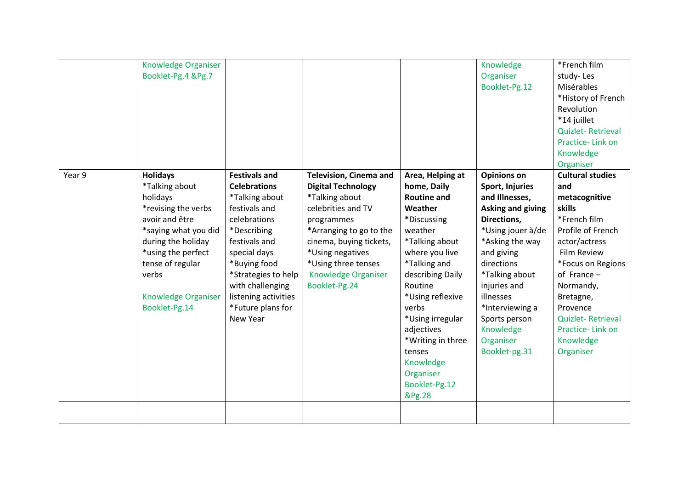|        | Knowledge Organiser<br>Booklet-Pg.4 &Pg.7                                                                                                                                                                                              |                                                                                                                                                                                                                                                                    |                                                                                                                                                                                                                                                           |                                                                                                                                                                                                                                                                                                                                  | Knowledge<br>Organiser<br>Booklet-Pg.12                                                                                                                                                                                                                                                              | *French film<br>study-Les<br>Misérables<br>*History of French<br>Revolution<br>*14 juillet<br><b>Quizlet-Retrieval</b><br>Practice-Link on<br>Knowledge<br>Organiser                                                                                                                        |
|--------|----------------------------------------------------------------------------------------------------------------------------------------------------------------------------------------------------------------------------------------|--------------------------------------------------------------------------------------------------------------------------------------------------------------------------------------------------------------------------------------------------------------------|-----------------------------------------------------------------------------------------------------------------------------------------------------------------------------------------------------------------------------------------------------------|----------------------------------------------------------------------------------------------------------------------------------------------------------------------------------------------------------------------------------------------------------------------------------------------------------------------------------|------------------------------------------------------------------------------------------------------------------------------------------------------------------------------------------------------------------------------------------------------------------------------------------------------|---------------------------------------------------------------------------------------------------------------------------------------------------------------------------------------------------------------------------------------------------------------------------------------------|
| Year 9 | <b>Holidays</b><br>*Talking about<br>holidays<br>*revising the verbs<br>avoir and être<br>*saying what you did<br>during the holiday<br>*using the perfect<br>tense of regular<br>verbs<br><b>Knowledge Organiser</b><br>Booklet-Pg.14 | <b>Festivals and</b><br><b>Celebrations</b><br>*Talking about<br>festivals and<br>celebrations<br>*Describing<br>festivals and<br>special days<br>*Buying food<br>*Strategies to help<br>with challenging<br>listening activities<br>*Future plans for<br>New Year | <b>Television, Cinema and</b><br><b>Digital Technology</b><br>*Talking about<br>celebrities and TV<br>programmes<br>*Arranging to go to the<br>cinema, buying tickets,<br>*Using negatives<br>*Using three tenses<br>Knowledge Organiser<br>Booklet-Pg.24 | Area, Helping at<br>home, Daily<br><b>Routine and</b><br>Weather<br>*Discussing<br>weather<br>*Talking about<br>where you live<br>*Talking and<br>describing Daily<br>Routine<br>*Using reflexive<br>verbs<br>*Using irregular<br>adjectives<br>*Writing in three<br>tenses<br>Knowledge<br>Organiser<br>Booklet-Pg.12<br>&Pg.28 | <b>Opinions on</b><br>Sport, Injuries<br>and Illnesses,<br><b>Asking and giving</b><br>Directions,<br>*Using jouer à/de<br>*Asking the way<br>and giving<br>directions<br>*Talking about<br>injuries and<br>illnesses<br>*Interviewing a<br>Sports person<br>Knowledge<br>Organiser<br>Booklet-pg.31 | <b>Cultural studies</b><br>and<br>metacognitive<br>skills<br>*French film<br>Profile of French<br>actor/actress<br><b>Film Review</b><br>*Focus on Regions<br>of France $-$<br>Normandy,<br>Bretagne,<br>Provence<br><b>Quizlet-Retrieval</b><br>Practice-Link on<br>Knowledge<br>Organiser |
|        |                                                                                                                                                                                                                                        |                                                                                                                                                                                                                                                                    |                                                                                                                                                                                                                                                           |                                                                                                                                                                                                                                                                                                                                  |                                                                                                                                                                                                                                                                                                      |                                                                                                                                                                                                                                                                                             |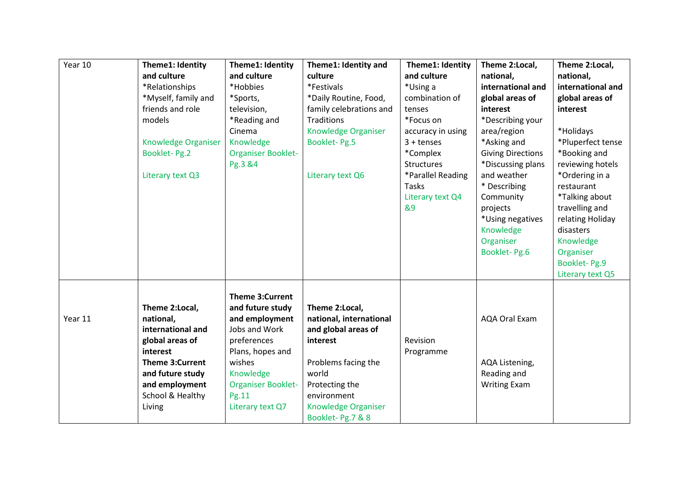| Year 10 | Theme1: Identity<br>and culture<br>*Relationships<br>*Myself, family and<br>friends and role<br>models<br><b>Knowledge Organiser</b><br>Booklet-Pg.2<br>Literary text Q3      | Theme1: Identity<br>and culture<br>*Hobbies<br>*Sports,<br>television,<br>*Reading and<br>Cinema<br>Knowledge<br><b>Organiser Booklet-</b><br>Pg.3 &4                                             | Theme1: Identity and<br>culture<br>*Festivals<br>*Daily Routine, Food,<br>family celebrations and<br>Traditions<br>Knowledge Organiser<br>Booklet-Pg.5<br>Literary text Q6               | Theme1: Identity<br>and culture<br>*Using a<br>combination of<br>tenses<br>*Focus on<br>accuracy in using<br>$3 + t$ enses<br>*Complex<br>Structures<br>*Parallel Reading<br>Tasks<br>Literary text Q4<br>&9 | Theme 2:Local,<br>national,<br>international and<br>global areas of<br>interest<br>*Describing your<br>area/region<br>*Asking and<br><b>Giving Directions</b><br>*Discussing plans<br>and weather<br>* Describing<br>Community<br>projects<br>*Using negatives<br>Knowledge<br>Organiser<br>Booklet-Pg.6 | Theme 2:Local,<br>national,<br>international and<br>global areas of<br>interest<br>*Holidays<br>*Pluperfect tense<br>*Booking and<br>reviewing hotels<br>*Ordering in a<br>restaurant<br>*Talking about<br>travelling and<br>relating Holiday<br>disasters<br>Knowledge<br>Organiser<br><b>Booklet-Pg.9</b><br>Literary text Q5 |
|---------|-------------------------------------------------------------------------------------------------------------------------------------------------------------------------------|---------------------------------------------------------------------------------------------------------------------------------------------------------------------------------------------------|------------------------------------------------------------------------------------------------------------------------------------------------------------------------------------------|--------------------------------------------------------------------------------------------------------------------------------------------------------------------------------------------------------------|----------------------------------------------------------------------------------------------------------------------------------------------------------------------------------------------------------------------------------------------------------------------------------------------------------|---------------------------------------------------------------------------------------------------------------------------------------------------------------------------------------------------------------------------------------------------------------------------------------------------------------------------------|
| Year 11 | Theme 2:Local,<br>national,<br>international and<br>global areas of<br>interest<br><b>Theme 3:Current</b><br>and future study<br>and employment<br>School & Healthy<br>Living | <b>Theme 3:Current</b><br>and future study<br>and employment<br>Jobs and Work<br>preferences<br>Plans, hopes and<br>wishes<br>Knowledge<br><b>Organiser Booklet-</b><br>Pg.11<br>Literary text Q7 | Theme 2:Local,<br>national, international<br>and global areas of<br>interest<br>Problems facing the<br>world<br>Protecting the<br>environment<br>Knowledge Organiser<br>Booklet-Pg.7 & 8 | Revision<br>Programme                                                                                                                                                                                        | <b>AQA Oral Exam</b><br>AQA Listening,<br>Reading and<br><b>Writing Exam</b>                                                                                                                                                                                                                             |                                                                                                                                                                                                                                                                                                                                 |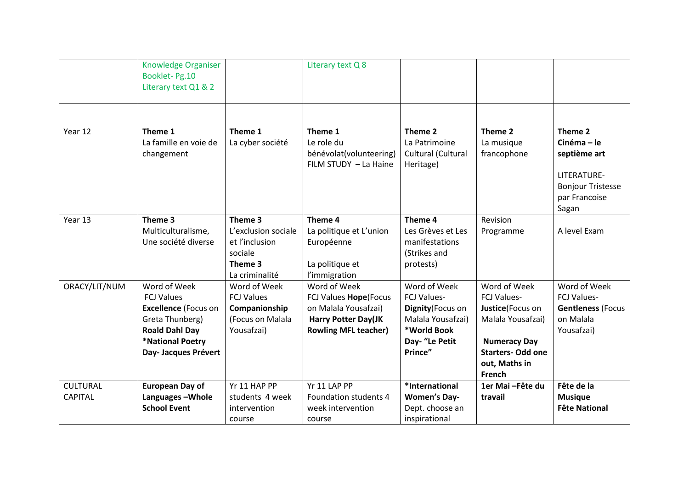|                                   | <b>Knowledge Organiser</b><br>Booklet-Pg.10<br>Literary text Q1 & 2                                                                                      |                                                                                          | Literary text Q 8                                                                                                          |                                                                                                                          |                                                                                                                                                           |                                                                                                           |
|-----------------------------------|----------------------------------------------------------------------------------------------------------------------------------------------------------|------------------------------------------------------------------------------------------|----------------------------------------------------------------------------------------------------------------------------|--------------------------------------------------------------------------------------------------------------------------|-----------------------------------------------------------------------------------------------------------------------------------------------------------|-----------------------------------------------------------------------------------------------------------|
| Year 12                           | Theme 1<br>La famille en voie de<br>changement                                                                                                           | Theme 1<br>La cyber société                                                              | Theme 1<br>Le role du<br>bénévolat(volunteering)<br>FILM STUDY - La Haine                                                  | Theme 2<br>La Patrimoine<br>Cultural (Cultural<br>Heritage)                                                              | Theme 2<br>La musique<br>francophone                                                                                                                      | Theme 2<br>Cinéma-le<br>septième art<br>LITERATURE-<br><b>Bonjour Tristesse</b><br>par Francoise<br>Sagan |
| Year 13                           | Theme 3<br>Multiculturalisme,<br>Une société diverse                                                                                                     | Theme 3<br>L'exclusion sociale<br>et l'inclusion<br>sociale<br>Theme 3<br>La criminalité | Theme 4<br>La politique et L'union<br>Européenne<br>La politique et<br>l'immigration                                       | Theme 4<br>Les Grèves et Les<br>manifestations<br>(Strikes and<br>protests)                                              | Revision<br>Programme                                                                                                                                     | A level Exam                                                                                              |
| ORACY/LIT/NUM                     | Word of Week<br><b>FCJ Values</b><br><b>Excellence (Focus on</b><br>Greta Thunberg)<br><b>Roald Dahl Day</b><br>*National Poetry<br>Day- Jacques Prévert | Word of Week<br><b>FCJ Values</b><br>Companionship<br>(Focus on Malala<br>Yousafzai)     | Word of Week<br>FCJ Values Hope(Focus<br>on Malala Yousafzai)<br><b>Harry Potter Day(JK</b><br><b>Rowling MFL teacher)</b> | Word of Week<br><b>FCJ Values-</b><br>Dignity (Focus on<br>Malala Yousafzai)<br>*World Book<br>Day- "Le Petit<br>Prince" | Word of Week<br><b>FCJ Values-</b><br>Justice(Focus on<br>Malala Yousafzai)<br><b>Numeracy Day</b><br><b>Starters- Odd one</b><br>out, Maths in<br>French | Word of Week<br><b>FCJ Values-</b><br><b>Gentleness (Focus</b><br>on Malala<br>Yousafzai)                 |
| <b>CULTURAL</b><br><b>CAPITAL</b> | <b>European Day of</b><br>Languages-Whole<br><b>School Event</b>                                                                                         | Yr 11 HAP PP<br>students 4 week<br>intervention<br>course                                | Yr 11 LAP PP<br>Foundation students 4<br>week intervention<br>course                                                       | *International<br><b>Women's Day-</b><br>Dept. choose an<br>inspirational                                                | 1er Mai - Fête du<br>travail                                                                                                                              | Fête de la<br><b>Musique</b><br><b>Fête National</b>                                                      |